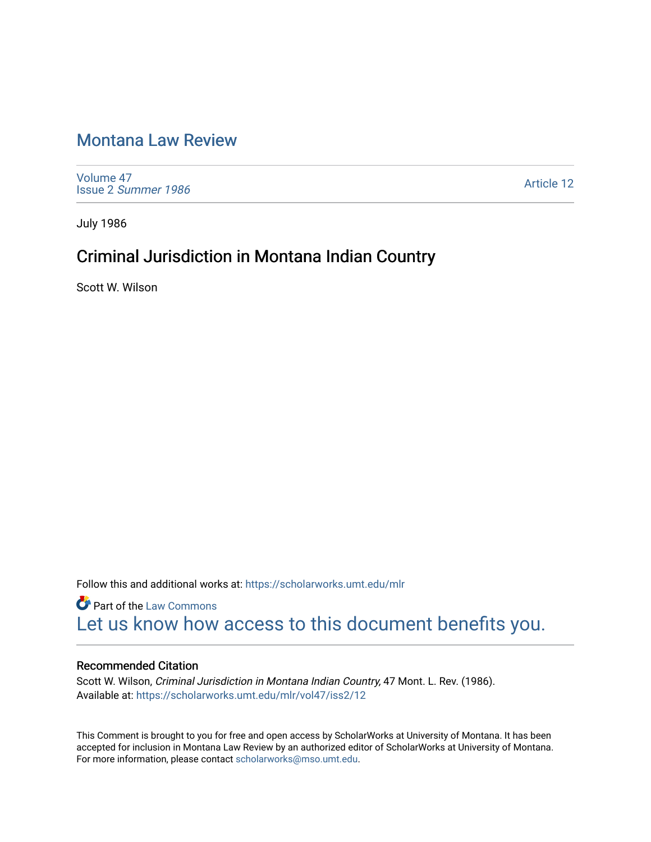# [Montana Law Review](https://scholarworks.umt.edu/mlr)

[Volume 47](https://scholarworks.umt.edu/mlr/vol47) Issue 2 [Summer 1986](https://scholarworks.umt.edu/mlr/vol47/iss2) 

[Article 12](https://scholarworks.umt.edu/mlr/vol47/iss2/12) 

July 1986

# Criminal Jurisdiction in Montana Indian Country

Scott W. Wilson

Follow this and additional works at: [https://scholarworks.umt.edu/mlr](https://scholarworks.umt.edu/mlr?utm_source=scholarworks.umt.edu%2Fmlr%2Fvol47%2Fiss2%2F12&utm_medium=PDF&utm_campaign=PDFCoverPages) 

**Part of the [Law Commons](http://network.bepress.com/hgg/discipline/578?utm_source=scholarworks.umt.edu%2Fmlr%2Fvol47%2Fiss2%2F12&utm_medium=PDF&utm_campaign=PDFCoverPages)** [Let us know how access to this document benefits you.](https://goo.gl/forms/s2rGfXOLzz71qgsB2) 

#### Recommended Citation

Scott W. Wilson, Criminal Jurisdiction in Montana Indian Country, 47 Mont. L. Rev. (1986). Available at: [https://scholarworks.umt.edu/mlr/vol47/iss2/12](https://scholarworks.umt.edu/mlr/vol47/iss2/12?utm_source=scholarworks.umt.edu%2Fmlr%2Fvol47%2Fiss2%2F12&utm_medium=PDF&utm_campaign=PDFCoverPages)

This Comment is brought to you for free and open access by ScholarWorks at University of Montana. It has been accepted for inclusion in Montana Law Review by an authorized editor of ScholarWorks at University of Montana. For more information, please contact [scholarworks@mso.umt.edu.](mailto:scholarworks@mso.umt.edu)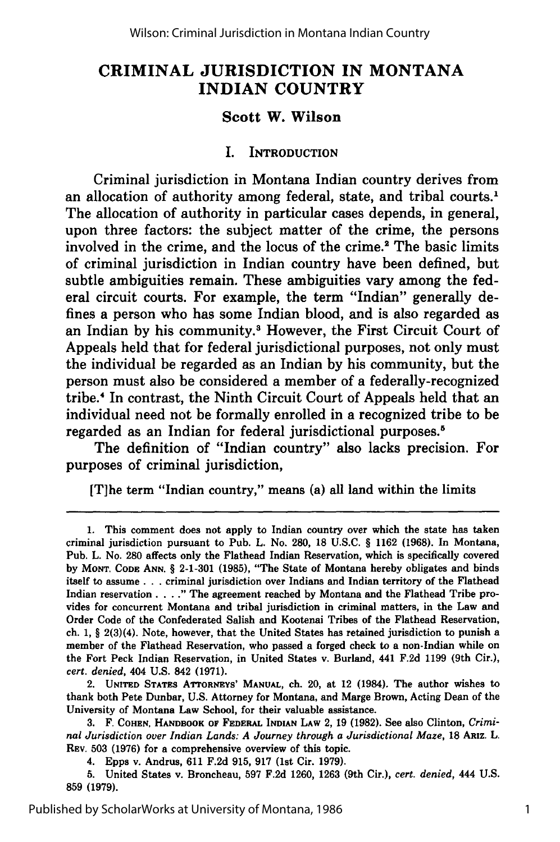## **CRIMINAL JURISDICTION IN MONTANA INDIAN COUNTRY**

#### **Scott W. Wilson**

#### I. **INTRODUCTION**

Criminal jurisdiction in Montana Indian country derives from an allocation of authority among federal, state, and tribal courts.<sup>1</sup> The allocation of authority in particular cases depends, in general, upon three factors: the subject matter of the crime, the persons involved in the crime, and the locus of the crime.<sup>2</sup> The basic limits of criminal jurisdiction in Indian country have been defined, but subtle ambiguities remain. These ambiguities vary among the federal circuit courts. For example, the term "Indian" generally defines a person who has some Indian blood, and is also regarded as an Indian **by** his community.3 However, the First Circuit Court of Appeals held that for federal jurisdictional purposes, not only must the individual be regarded as an Indian **by** his community, but the person must also be considered a member of a federally-recognized tribe." In contrast, the Ninth Circuit Court of Appeals held that an individual need not be formally enrolled in a recognized tribe to be regarded as an Indian for federal jurisdictional purposes.'

The definition of "Indian country" also lacks precision. For purposes of criminal jurisdiction,

[T]he term "Indian country," means (a) all land within the limits

2. **UNITED STATES** ATroREYS' **MANUAL,** ch. 20, at 12 (1984). The author wishes to thank both Pete Dunbar, **U.S.** Attorney for Montana, and Marge Brown, Acting Dean of the University of Montana Law School, for their valuable assistance.

**3.** F. **COHEN, HANDBOOK OF FEDERAL INDIAN LAW 2, 19 (1982).** See also Clinton, *Criminal Jurisdiction over Indian Lands: A Journey through a Jurisdictional Maze,* **18** ARIz. L. REv. **503 (1976)** for a comprehensive overview of this topic.

4. Epps v. Andrus, **611 F.2d 915, 917** (1st Cir. **1979).**

**5.** United States v. Broncheau, **597 F.2d 1260, 1263** (9th Cir.), *cert. denied,* 444 **U.S. 859 (1979).**

**<sup>1.</sup>** This comment does not apply to Indian country over which the state has taken criminal jurisdiction pursuant to Pub. L. No. **280, 18 U.S.C.** § **1162 (1968).** In Montana, Pub. L. No. **280** affects only the Flathead Indian Reservation, which is specifically covered **by MONT. CODE ANN.** § **2-1-301 (1985),** "The State of Montana hereby obligates and binds itself to assume. **..** criminal jurisdiction over Indians and Indian territory of the Flathead Indian reservation **.... "** The agreement reached **by** Montana and the Flathead Tribe provides for concurrent Montana and tribal jurisdiction in criminal matters, in the Law and Order Code of the Confederated Salish and Kootenai Tribes of the Flathead Reservation, ch. **1,** § 2(3)(4). Note, however, that the United States has retained jurisdiction to punish a member of the Flathead Reservation, who passed a forged check to a non-Indian while on the Fort Peck Indian Reservation, in United States v. Burland, 441 **F.2d 1199** (9th Cir.), *cert. denied,* 404 **U.S.** 842 **(1971).**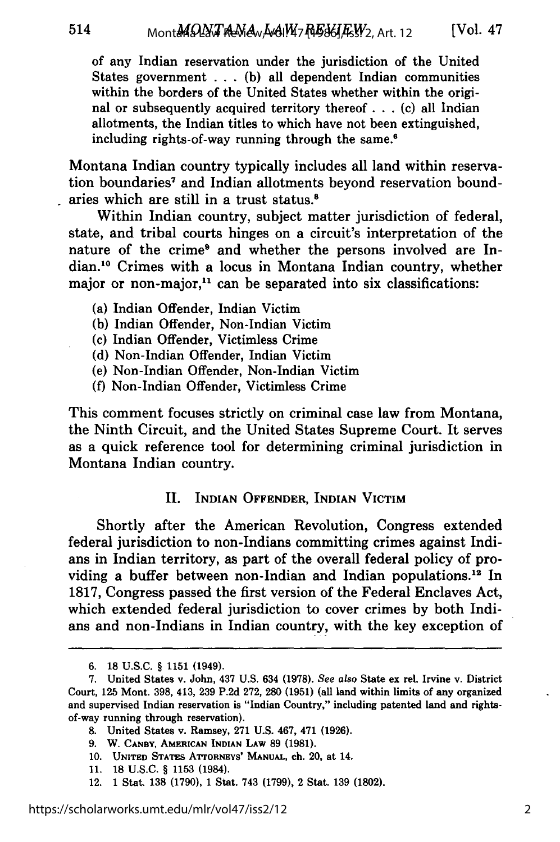of any Indian reservation under the jurisdiction of the United States government ... (b) all dependent Indian communities within the borders of the United States whether within the original or subsequently acquired territory thereof ... (c) all Indian allotments, the Indian titles to which have not been extinguished, including rights-of-way running through the same.6

Montana Indian country typically includes all land within reservation boundaries<sup>7</sup> and Indian allotments beyond reservation boundaries which are still in a trust status.'

Within Indian country, subject matter jurisdiction of federal, state, and tribal courts hinges on a circuit's interpretation of the nature of the crime<sup>®</sup> and whether the persons involved are Indian. 10 Crimes with a locus in Montana Indian country, whether major or non-major, $11$  can be separated into six classifications:

- (a) Indian Offender, Indian Victim
- (b) Indian Offender, Non-Indian Victim
- (c) Indian Offender, Victimless Crime
- (d) Non-Indian Offender, Indian Victim
- (e) Non-Indian Offender, Non-Indian Victim
- (f) Non-Indian Offender, Victimless Crime

This comment focuses strictly on criminal case law from Montana, the Ninth Circuit, and the United States Supreme Court. It serves as a quick reference tool for determining criminal jurisdiction in Montana Indian country.

#### II. INDIAN OFFENDER, INDIAN VICTIM

Shortly after the American Revolution, Congress extended federal jurisdiction to non-Indians committing crimes against Indians in Indian territory, as part of the overall federal policy of providing a buffer between non-Indian and Indian populations.<sup>12</sup> In 1817, Congress passed the first version of the Federal Enclaves Act, which extended federal jurisdiction to cover crimes by both Indians and non-Indians in Indian country, with the key exception of

- **8.** United States v. Ramsey, 271 U.S. 467, 471 (1926).
- **9.** W. **CANBY, AMERICAN INDIAN LAW 89 (1981).**
- **10. UNITED** STATEs **ATTORNEYS' MANUAL,** ch. 20, **at** 14.
- **11. 18 U.S.C.** § **1153** (1984).
- 12. **1** Stat. **138 (1790), 1** Stat. 743 **(1799),** 2 Stat. **139 (1802).**

**<sup>6.</sup>** 18 **U.S.C.** § 1151 (1949).

<sup>7.</sup> United States v. John, 437 U.S. 634 **(1978).** See *also* State ex rel. Irvine v. District Court, 125 Mont. 398, 413, 239 P.2d 272, 280 (1951) (all land within limits of any organized and supervised Indian reservation is "Indian Country," including patented land and rightsof-way running through reservation).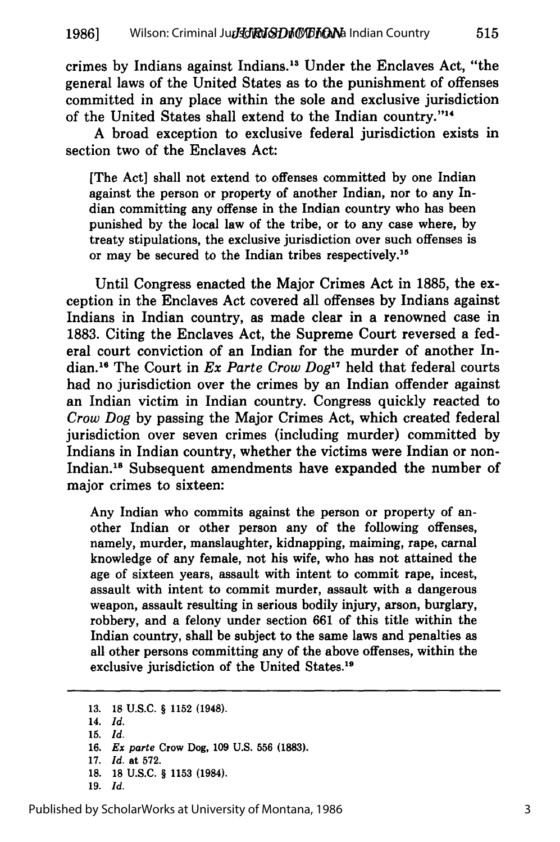crimes **by** Indians against Indians."3 Under the Enclaves Act, "the general laws of the United States as to the punishment of offenses committed in any place within the sole and exclusive jurisdiction of the United States shall extend to the Indian country."<sup>14</sup>

**A** broad exception to exclusive federal jurisdiction exists in section two of the Enclaves Act:

[The Act] shall not extend to offenses committed **by** one Indian against the person or property of another Indian, nor to any Indian committing any offense in the Indian country who has been punished **by** the local law of the tribe, or to any case where, **by** treaty stipulations, the exclusive jurisdiction over such offenses is or may be secured to the Indian tribes respectively. 15

Until Congress enacted the Major Crimes Act in **1885,** the exception in the Enclaves Act covered all offenses **by** Indians against Indians in Indian country, as made clear in a renowned case in **1883.** Citing the Enclaves Act, the Supreme Court reversed a federal court conviction of an Indian for the murder of another Indian.<sup>16</sup> The Court in *Ex Parte Crow Dog*<sup>17</sup> held that federal courts had no jurisdiction over the crimes **by** an Indian offender against an Indian victim in Indian country. Congress quickly reacted to *Crow Dog* **by** passing the Major Crimes Act, which created federal jurisdiction over seven crimes (including murder) committed **by** Indians in Indian country, whether the victims were Indian or non-Indian.'8 Subsequent amendments have expanded the number of major crimes to sixteen:

Any Indian who commits against the person or property of another Indian or other person any of the following offenses, namely, murder, manslaughter, kidnapping, maiming, rape, carnal knowledge of any female, not his wife, who has not attained the age of sixteen years, assault with intent to commit rape, incest, assault with intent to commit murder, assault with a dangerous weapon, assault resulting in serious bodily injury, arson, burglary, robbery, and a felony under section **661** of this title within the Indian country, shall be subject to the same laws and penalties as all other persons committing any of the above offenses, within the exclusive jurisdiction of the United States.<sup>19</sup>

13. **18** U.S.C. § 1152 (1948).

- 14. *Id.*
- **15.** *Id.*
- 16. *Ex parte* Crow Dog, 109 U.S. 556 **(1883).**
- 17. *Id.* at 572.
- **18. 18** U.S.C. § 1153 (1984).
- 19. *Id.*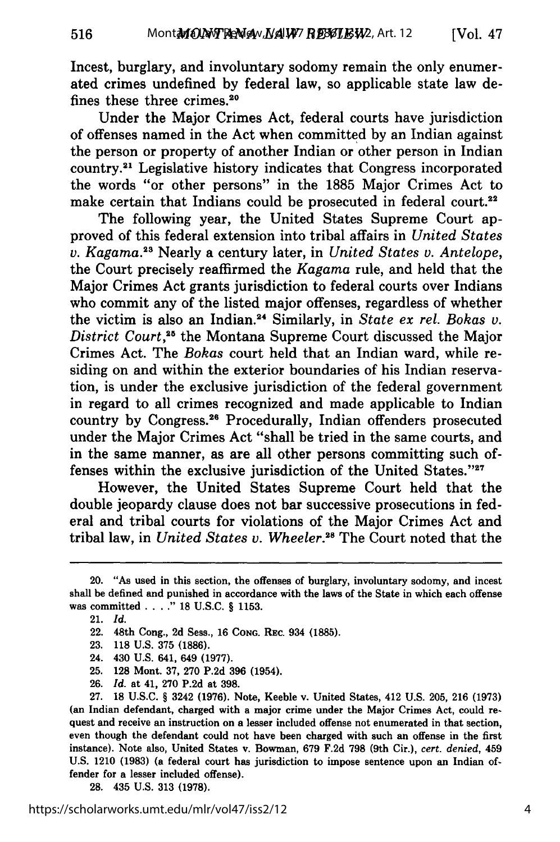Incest, burglary, and involuntary sodomy remain the only enumerated crimes undefined by federal law, so applicable state law defines these three crimes.20

Under the Major Crimes Act, federal courts have jurisdiction of offenses named in the Act when committed by an Indian against the person or property of another Indian or other person in Indian country.<sup>21</sup> Legislative history indicates that Congress incorporated the words "or other persons" in the 1885 Major Crimes Act to make certain that Indians could be prosecuted in federal court.<sup>22</sup>

The following year, the United States Supreme Court approved of this federal extension into tribal affairs in *United States v. Kagama.2 3* Nearly a century later, in *United States v. Antelope,* the Court precisely reaffirmed the *Kagama* rule, and held that the Major Crimes Act grants jurisdiction to federal courts over Indians who commit any of the listed major offenses, regardless of whether the victim is also an Indian.<sup>24</sup> Similarly, in *State ex rel. Bokas v. District Court*,<sup>25</sup> the Montana Supreme Court discussed the Major Crimes Act. The *Bokas* court held that an Indian ward, while residing on and within the exterior boundaries of his Indian reservation, is under the exclusive jurisdiction of the federal government in regard to all crimes recognized and made applicable to Indian country by Congress. 26 Procedurally, Indian offenders prosecuted under the Major Crimes Act "shall be tried in the same courts, and in the same manner, as are all other persons committing such offenses within the exclusive jurisdiction of the United States."27

However, the United States Supreme Court held that the double jeopardy clause does not bar successive prosecutions in federal and tribal courts for violations of the Major Crimes Act and tribal law, in *United States v. Wheeler.*<sup>28</sup> The Court noted that the

516

- **25. 128** Mont. **37, 270 P.2d 396** (1954).
- **26.** *Id.* at 41, **270 P.2d** at **398.**

**27. 18 U.S.C.** § 3242 **(1976).** Note, Keeble v. United States, 412 **U.S. 205, 216 (1973)** (an Indian defendant, charged with a major crime under the Major Crimes Act, could request and receive an instruction on a lesser included offense not enumerated in that section, even though the defendant could not have been charged with such an offense in the first instance). Note also, United States v. Bowman, **679 F.2d 798** (9th Cir.), *cert. denied,* 459 **U.S.** 1210 **(1983)** (a federal court has jurisdiction to impose sentence upon an Indian offender for a lesser included offense).

**28.** 435 **U.S. 313 (1978).**

<sup>20. &</sup>quot;As used in this section, the offenses of burglary, involuntary sodomy, and incest shall be defined and punished in accordance with the laws of the State in which each offense was committed **. <sup>18</sup>U.S.C.** § **1153.**

<sup>21.</sup> *Id.*

<sup>22. 48</sup>th Cong., **2d** Sess., **16 CONG.** REc. 934 **(1885).**

**<sup>23. 118</sup> U.S. 375 (1886).**

<sup>24. 430</sup> **U.S.** 641, 649 **(1977).**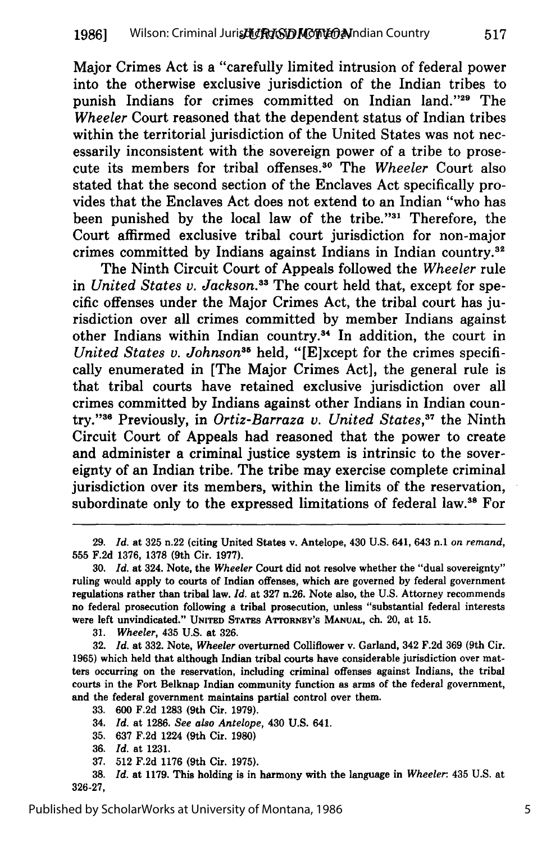Major Crimes Act is a "carefully limited intrusion of federal power into the otherwise exclusive jurisdiction of the Indian tribes to punish Indians for crimes committed on Indian land."<sup>29</sup> The *Wheeler* Court reasoned that the dependent status of Indian tribes within the territorial jurisdiction of the United States was not necessarily inconsistent with the sovereign power of a tribe to prosecute its members for tribal offenses.30 The *Wheeler* Court also stated that the second section of the Enclaves Act specifically provides that the Enclaves Act does not extend to an Indian "who has been punished by the local law of the tribe."<sup>31</sup> Therefore, the Court affirmed exclusive tribal court jurisdiction for non-major crimes committed by Indians against Indians in Indian country.32

The Ninth Circuit Court of Appeals followed the *Wheeler* rule in *United States v. Jackson.33* The court held that, except for specific offenses under the Major Crimes Act, the tribal court has jurisdiction over all crimes committed by member Indians against other Indians within Indian country.<sup>34</sup> In addition, the court in *United States v. Johnson*<sup>35</sup> held, "[E]xcept for the crimes specifically enumerated in [The Major Crimes Act], the general rule is that tribal courts have retained exclusive jurisdiction over all crimes committed by Indians against other Indians in Indian country."<sup>36</sup> Previously, in *Ortiz-Barraza v. United States*,<sup>37</sup> the Ninth Circuit Court of Appeals had reasoned that the power to create and administer a criminal justice system is intrinsic to the sovereignty of an Indian tribe. The tribe may exercise complete criminal jurisdiction over its members, within the limits of the reservation, subordinate only to the expressed limitations of federal law.<sup>38</sup> For

**35. 637 F.2d** 1224 (9th Cir. **1980)**

**<sup>29.</sup>** *Id.* at **325** n.22 (citing United States v. Antelope, 430 U.S. 641, 643 n.1 *on remand,* **555 F.2d 1376, 1378** (9th Cir. **1977).**

**<sup>30.</sup>** *Id.* at 324. Note, the *Wheeler* Court did not resolve whether the "dual sovereignty" ruling would apply to courts of Indian offenses, which are governed **by** federal government regulations rather than tribal law. *Id.* at **327** n.26. Note also, the **U.S.** Attorney recommends no federal prosecution following a tribal prosecution, unless "substantial federal interests were left unvindicated." **UNtED** STATES ATTORNEY'S **MANUAL,** ch. 20, at **15.**

**<sup>31.</sup>** *Wheeler,* 435 **U.S.** at **326.**

**<sup>32.</sup>** *Id.* at **332.** Note, *Wheeler* overturned Colliflower v. Garland, 342 **F.2d 369** (9th Cir. **1965)** which held that although Indian tribal courts have considerable jurisdiction over matters occurring on the reservation, including criminal offenses against Indians, the tribal courts in the Fort Belknap Indian community function as arms of the federal government, and the federal government maintains partial control over them.

**<sup>33. 600</sup> F.2d 1283** (9th Cir. **1979).**

<sup>34.</sup> *Id.* at **1286.** *See also Antelope,* 430 **U.S.** 641.

**<sup>36.</sup>** *Id.* at **1231.**

**<sup>37. 512</sup> F.2d 1176** (9th Cir. **1975).**

**<sup>38.</sup>** *Id.* at **1179.** This holding is in harmony with the language in *Wheeler:* 435 **U.S.** at **326-27,**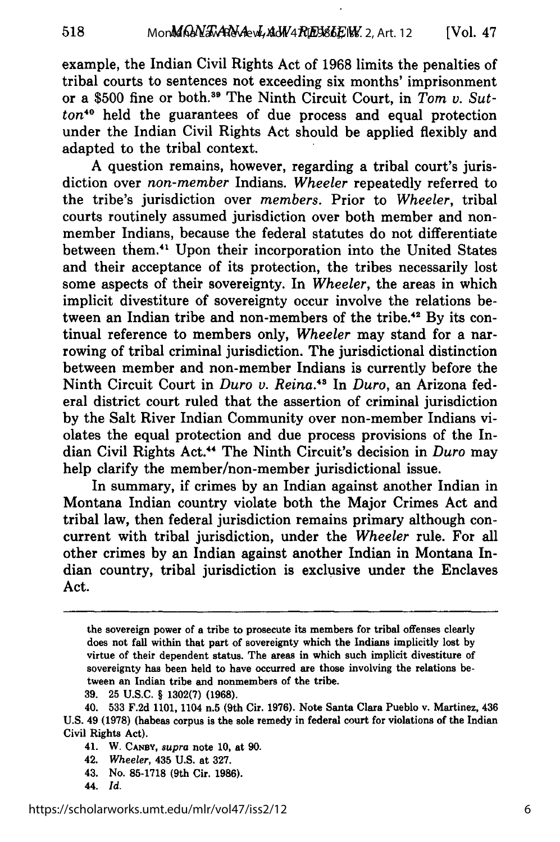example, the Indian Civil Rights Act of 1968 limits the penalties of tribal courts to sentences not exceeding six months' imprisonment or a \$500 fine or both.<sup>39</sup> The Ninth Circuit Court, in Tom v. Sut $ton<sup>40</sup>$  held the guarantees of due process and equal protection under the Indian Civil Rights Act should be applied flexibly and adapted to the tribal context.

A question remains, however, regarding a tribal court's jurisdiction over *non-member* Indians. *Wheeler* repeatedly referred to the tribe's jurisdiction over *members.* Prior to *Wheeler,* tribal courts routinely assumed jurisdiction over both member and nonmember Indians, because the federal statutes do not differentiate between them.<sup>41</sup> Upon their incorporation into the United States and their acceptance of its protection, the tribes necessarily lost some aspects of their sovereignty. In *Wheeler,* the areas in which implicit divestiture of sovereignty occur involve the relations between an Indian tribe and non-members of the tribe.<sup>42</sup> By its continual reference to members only, *Wheeler* may stand for a narrowing of tribal criminal jurisdiction. The jurisdictional distinction between member and non-member Indians is currently before the Ninth Circuit Court in *Duro v. Reina.4s* In *Duro,* an Arizona federal district court ruled that the assertion of criminal jurisdiction by the Salt River Indian Community over non-member Indians violates the equal protection and due process provisions of the Indian Civil Rights Act.4 " The Ninth Circuit's decision in *Duro* may help clarify the member/non-member jurisdictional issue.

In summary, if crimes by an Indian against another Indian in Montana Indian country violate both the Major Crimes Act and tribal law, then federal jurisdiction remains primary although concurrent with tribal jurisdiction, under the *Wheeler* rule. For all other crimes by an Indian against another Indian in Montana Indian country, tribal jurisdiction is exclusive under the Enclaves Act.

- 43. No. **85-1718** (9th Cir. **1986).**
- 44. *Id.*

518

the sovereign power of a tribe to prosecute its members for tribal offenses clearly does not fall within that part of sovereignty which the Indians implicitly lost **by** virtue of their dependent status. The areas in which such implicit divestiture of sovereignty has been held to have occurred are those involving the relations between an Indian tribe and nonmembers of the tribe.

**<sup>39. 25</sup> U.S.C.** § **1302(7) (1968).**

<sup>40.</sup> **533 F.2d 1101,** 1104 n.5 (9th Cir. **1976).** Note Santa Clara Pueblo v. Martinez, 436 **U.S.** 49 **(1978)** (habeas corpus is the sole remedy in federal court for violations of the Indian Civil Rights Act).

<sup>41.</sup> **W. CANBY,** *supra* note **10,** at **90.**

<sup>42.</sup> *Wheeler,* 435 **U.S.** at **327.**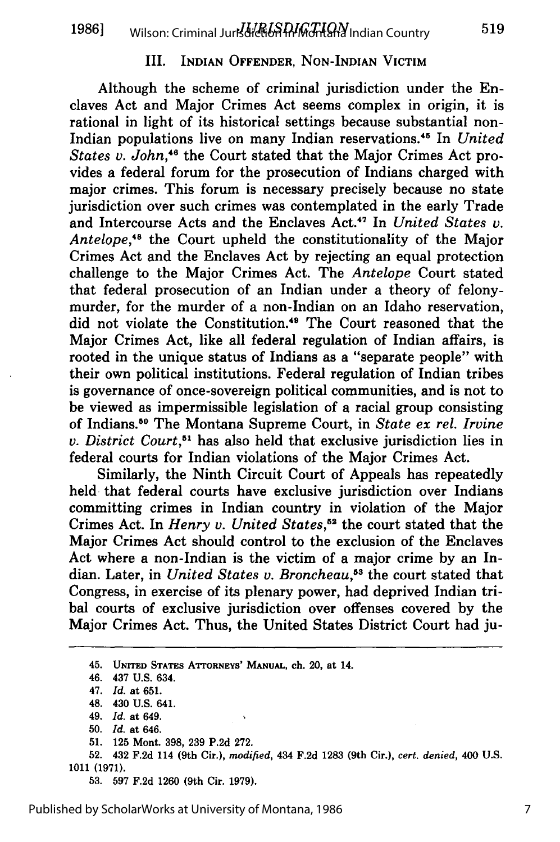#### III. INDIAN OFFENDER, **NON-INDIAN** VICTIM

Although the scheme of criminal jurisdiction under the Enclaves Act and Major Crimes Act seems complex in origin, it is rational in light of its historical settings because substantial non-Indian populations live on many Indian reservations."5 In *United States v. John*,<sup>46</sup> the Court stated that the Major Crimes Act provides a federal forum for the prosecution of Indians charged with major crimes. This forum is necessary precisely because no state jurisdiction over such crimes was contemplated in the early Trade and Intercourse Acts and the Enclaves Act.<sup>47</sup> In *United States v.* Antelope,<sup>48</sup> the Court upheld the constitutionality of the Major Crimes Act and the Enclaves Act **by** rejecting an equal protection challenge to the Major Crimes Act. The *Antelope* Court stated that federal prosecution of an Indian under a theory of felonymurder, for the murder of a non-Indian on an Idaho reservation, did not violate the Constitution.<sup>49</sup> The Court reasoned that the Major Crimes Act, like all federal regulation of Indian affairs, is rooted in the unique status of Indians as a "separate people" with their own political institutions. Federal regulation of Indian tribes is governance of once-sovereign political communities, and is not to be viewed as impermissible legislation of a racial group consisting of Indians.50 The Montana Supreme Court, in *State ex rel. Irvine v. District Court,5 <sup>1</sup>*has also held that exclusive jurisdiction lies in federal courts for Indian violations of the Major Crimes Act.

Similarly, the Ninth Circuit Court of Appeals has repeatedly held that federal courts have exclusive jurisdiction over Indians committing crimes in Indian country in violation of the Major Crimes Act. In *Henry v. United States*,<sup>52</sup> the court stated that the Major Crimes Act should control to the exclusion of the Enclaves Act where a non-Indian is the victim of a major crime by an Indian. Later, in *United States v. Broncheau*,<sup>53</sup> the court stated that Congress, in exercise of its plenary power, had deprived Indian tribal courts of exclusive jurisdiction over offenses covered by the Major Crimes Act. Thus, the United States District Court had ju-

<sup>45.</sup> **UNITED STATES ATTORNEYS' MANUAL,** ch. 20, at 14.

<sup>46. 437</sup> **U.S.** 634.

<sup>47.</sup> *Id.* **at 651.**

<sup>48. 430</sup> **U.S.** 641.

<sup>49.</sup> *Id.* at 649.

**<sup>50.</sup>** *Id.* **at** 646.

<sup>51. 125</sup> Mont. 398, 239 P.2d 272.

<sup>52. 432</sup> F.2d 114 (9th Cir.), *modified,* 434 F.2d 1283 (9th Cir.), *cert. denied,* 400 U.S. 1011 (1971).

**<sup>53.</sup>** 597 F.2d 1260 (9th Cir. 1979).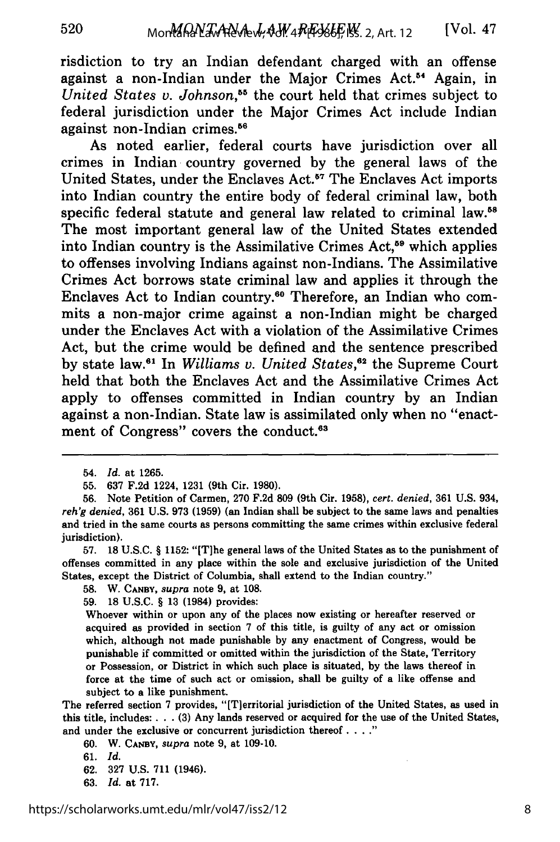risdiction to try an Indian defendant charged with an offense against a non-Indian under the Major Crimes **Act.54** Again, in *United States v. Johnson,55* the court held that crimes subject to federal jurisdiction under the Major Crimes Act include Indian against non-Indian crimes.<sup>56</sup>

As noted earlier, federal courts have jurisdiction over all crimes in Indian country governed **by** the general laws of the United States, under the Enclaves Act.<sup>57</sup> The Enclaves Act imports into Indian country the entire body of federal criminal law, both specific federal statute and general law related to criminal **law.5 <sup>8</sup>** The most important general law of the United States extended into Indian country is the Assimilative Crimes Act,<sup>59</sup> which applies to offenses involving Indians against non-Indians. The Assimilative Crimes Act borrows state criminal law and applies it through the Enclaves Act to Indian country.<sup>60</sup> Therefore, an Indian who commits a non-major crime against a non-Indian might be charged under the Enclaves Act with a violation of the Assimilative Crimes Act, but the crime would be defined and the sentence prescribed by state law.<sup>61</sup> In *Williams v. United States*,<sup>62</sup> the Supreme Court held that both the Enclaves Act and the Assimilative Crimes Act apply to offenses committed in Indian country **by** an Indian against a non-Indian. State law is assimilated only when no "enactment of Congress" covers the conduct.<sup>63</sup>

57. **18** U.S.C. § 1152: "[T]he general laws of the United States as to the punishment of offenses committed in any place within the sole and exclusive jurisdiction of the United States, except the District of Columbia, shall extend to the Indian country."

58. W. **CANBY,** *supra* note 9, at 108.

59. 18 U.S.C. § 13 (1984) provides:

Whoever within or upon any of the places now existing or hereafter reserved or acquired as provided in section 7 of this title, is guilty of any act or omission which, although not made punishable **by** any enactment of Congress, would be punishable if committed or omitted within the jurisdiction of the State, Territory or Possession, or District in which such place is situated, **by** the laws thereof in force at the time of such act or omission, shall be guilty of a like offense and subject to a like punishment.

The referred section 7 provides, "[T]erritorial jurisdiction of the United States, as used in this title, includes: **. . . (3)** Any lands reserved or acquired for the use of the United States, and under the exclusive or concurrent jurisdiction thereof **.**

60. W. **CANBY,** *supra* note 9, at 109-10.

61. *Id.*

- 62. 327 U.S. 711 (1946).
- 63. *Id.* at 717.

<sup>54.</sup> *Id.* at 1265.

<sup>55. 637</sup> F.2d 1224, 1231 (9th Cir. 1980).

<sup>56.</sup> Note Petition of Carmen, 270 F.2d 809 (9th Cir. 1958), *cert. denied,* 361 U.S. 934, *reh'g denied,* **361 U.S. 973 (1959)** (an Indian shall be subject to the same laws and penalties and tried in the same courts as persons committing the same crimes within exclusive federal jurisdiction).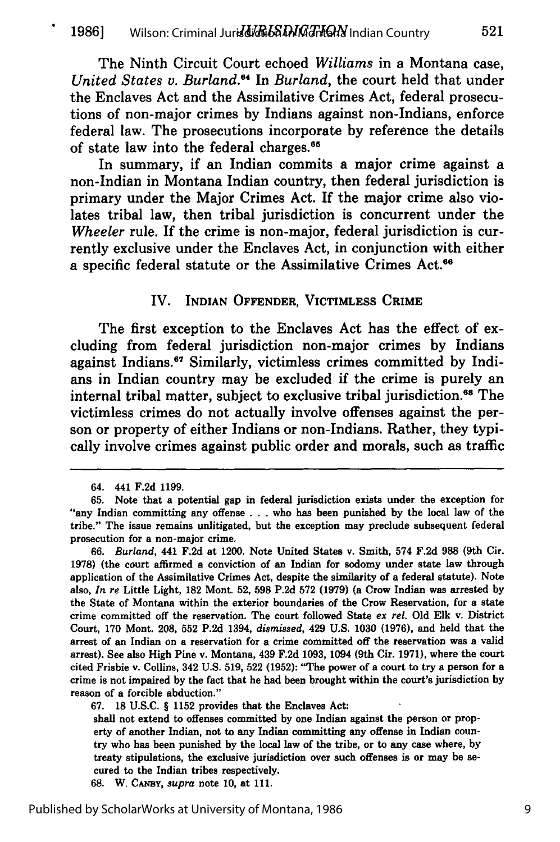The Ninth Circuit Court echoed *Williams* in a Montana case, *United States v. Burland.*<sup>64</sup> In *Burland*, the court held that under the Enclaves Act and the Assimilative Crimes Act, federal prosecutions of non-major crimes **by** Indians against non-Indians, enforce federal law. The prosecutions incorporate **by** reference the details of state law into the federal charges.<sup>65</sup>

In summary, if an Indian commits a major crime against a non-Indian in Montana Indian country, then federal jurisdiction is primary under the Major Crimes Act. If the major crime also violates tribal law, then tribal jurisdiction is concurrent under the *Wheeler* rule. **If** the crime is non-major, federal jurisdiction is currently exclusive under the Enclaves Act, in conjunction with either a specific federal statute or the Assimilative Crimes Act.<sup>66</sup>

#### IV. INDIAN OFFENDER, VICTIMLESS CRIME

The first exception to the Enclaves Act has the effect of excluding from federal jurisdiction non-major crimes **by** Indians against Indians.<sup>67</sup> Similarly, victimless crimes committed by Indians in Indian country may be excluded if the crime is purely an internal tribal matter, subject to exclusive tribal jurisdiction.<sup>68</sup> The victimless crimes do not actually involve offenses against the person or property of either Indians or non-Indians. Rather, they typically involve crimes against public order and morals, such as traffic

<sup>64. 441</sup> F.2d **1199.**

**<sup>65.</sup>** Note that a potential gap in federal jurisdiction exists under the exception for "any Indian committing any offense . . . who has been punished by the local law of the tribe." The issue remains unlitigated, but the exception may preclude subsequent federal prosecution for a non-major crime.

**<sup>66.</sup>** Burland, 441 F.2d at 1200. Note United States v. Smith, 574 F.2d **988** (9th Cir. **1978)** (the court affirmed a conviction of an Indian for sodomy under state law through application of the Assimilative Crimes Act, despite the similarity of a federal statute). Note also, **In re** Little Light, **182** Mont. **52, 598** P.2d **572 (1979)** (a Crow Indian was arrested by the State of Montana within the exterior boundaries of the Crow Reservation, for a state crime committed off the reservation. The court followed State **ex rel.** Old Elk v. District Court, 170 Mont. **208, 552** P.2d 1394, dismissed, 429 U.S. 1030 **(1976),** and held that the arrest of an Indian on a reservation for a crime committed off the reservation was a valid arrest). See also High Pine v. Montana, 439 F.2d **1093,** 1094 (9th Cir. 1971), where the court cited Frisbie v. Collins, 342 U.S. **519, 522 (1952):** "The power of a court to try a person for a crime is not impaired by the fact that he had been brought within the court's jurisdiction by reason of a forcible abduction."

**<sup>67. 18</sup>** U.S.C. § **1152** provides that the Enclaves Act:

shall not extend to offenses committed by one Indian against the person or property of another Indian, not to any Indian committing any offense in Indian country who has been punished by the local law of the tribe, or to any case where, by treaty stipulations, the exclusive jurisdiction over such offenses is or may be secured to the Indian tribes respectively.

**<sup>68.</sup>** W. **CANBY,** supra note 10, at 111.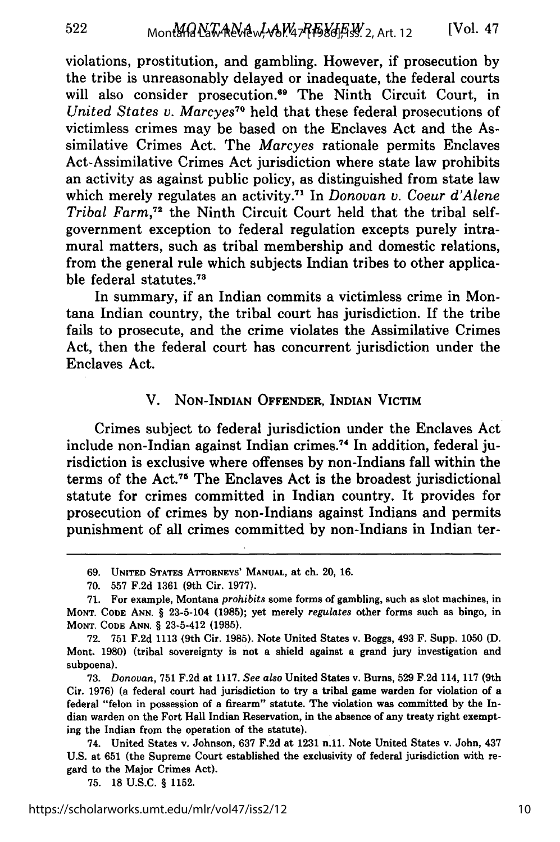violations, prostitution, and gambling. However, if prosecution by the tribe is unreasonably delayed or inadequate, the federal courts will also consider prosecution.<sup>69</sup> The Ninth Circuit Court, in *United States v. Marcyes70* held that these federal prosecutions of victimless crimes may be based on the Enclaves Act and the Assimilative Crimes Act. The *Marcyes* rationale permits Enclaves Act-Assimilative Crimes Act jurisdiction where state law prohibits an activity as against public policy, as distinguished from state law which merely regulates an activity.7' In *Donovan v. Coeur d'Alene Tribal Farm,72* the Ninth Circuit Court held that the tribal selfgovernment exception to federal regulation excepts purely intramural matters, such as tribal membership and domestic relations, from the general rule which subjects Indian tribes to other applicable federal statutes.73

In summary, if an Indian commits a victimless crime in Montana Indian country, the tribal court has jurisdiction. If the tribe fails to prosecute, and the crime violates the Assimilative Crimes Act, then the federal court has concurrent jurisdiction under the Enclaves Act.

### V. NON-INDIAN OFFENDER, **INDIAN VICTIM**

Crimes subject to federal jurisdiction under the Enclaves Act include non-Indian against Indian crimes.74 In addition, federal jurisdiction is exclusive where offenses by non-Indians fall within the terms of the Act. 75 The Enclaves Act is the broadest jurisdictional statute for crimes committed in Indian country. It provides for prosecution of crimes by non-Indians against Indians and permits punishment of all crimes committed by non-Indians in Indian ter-

75. 18 U.S.C. § 1152.

**<sup>69.</sup> UNITED** STATES ATTORNEYS' MANUAL, at ch. 20, **16.**

**<sup>70. 557</sup>** F.2d 1361 (9th Cir. **1977).**

<sup>71.</sup> For example, Montana *prohibits* some forms of gambling, such as slot machines, in **MONT.** CODE **ANN.** § 23-5-104 **(1985);** yet merely *regulates* other forms such as bingo, in MONT. **CODE** ANN. § 23-5-412 **(1985).**

**<sup>72.</sup>** 751 F.2d 1113 (9th Cir. 1985). Note United States v. Boggs, 493 F. Supp. 1050 **(D.** Mont. **1980)** (tribal sovereignty is not a shield against a grand jury investigation and subpoena).

**<sup>73.</sup>** *Donovan,* 751 F.2d at 1117. *See also* United States v. Burns, **529** F.2d 114, 117 (9th Cir. **1976)** (a federal court had jurisdiction to try a tribal game warden for violation of a federal "felon in possession of a firearm" statute. The violation was committed by the Indian warden on the Fort Hall Indian Reservation, in the absence of any treaty right exempting the Indian from the operation of the statute).

<sup>74.</sup> United States v. Johnson, 637 F.2d at 1231 n.11. Note United States v. John, 437 U.S. at 651 (the Supreme Court established the exclusivity of federal jurisdiction with regard to the Major Crimes Act).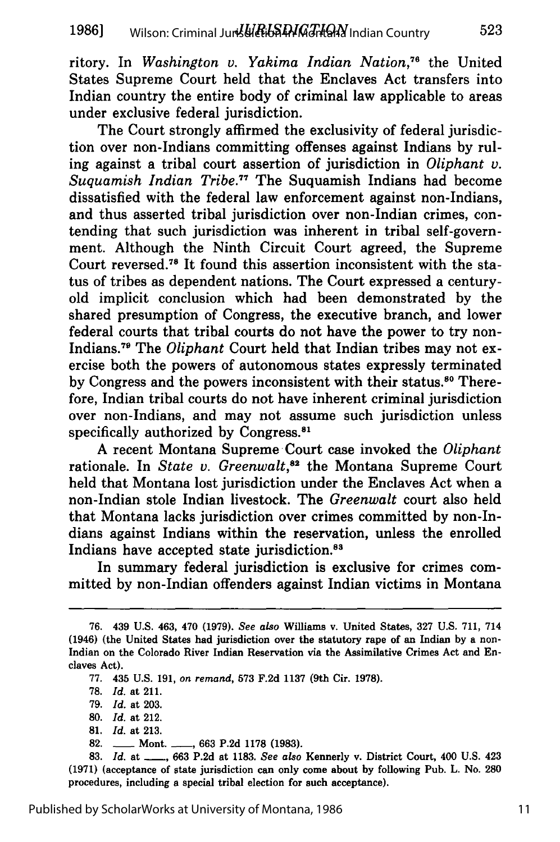ritory. In *Washington v. Yakima Indian Nation,76* the United States Supreme Court held that the Enclaves Act transfers into Indian country the entire body of criminal law applicable to areas under exclusive federal jurisdiction.

The Court strongly affirmed the exclusivity of federal jurisdiction over non-Indians committing offenses against Indians by ruling against a tribal court assertion of jurisdiction in *Oliphant v. Suquamish Indian Tribe."* The Suquamish Indians had become dissatisfied with the federal law enforcement against non-Indians, and thus asserted tribal jurisdiction over non-Indian crimes, contending that such jurisdiction was inherent in tribal self-government. Although the Ninth Circuit Court agreed, the Supreme Court reversed.<sup>78</sup> It found this assertion inconsistent with the status of tribes as dependent nations. The Court expressed a centuryold implicit conclusion which had been demonstrated by the shared presumption of Congress, the executive branch, and lower federal courts that tribal courts do not have the power to try non-Indians. 79 The *Oliphant* Court held that Indian tribes may not exercise both the powers of autonomous states expressly terminated by Congress and the powers inconsistent with their status.<sup>80</sup> Therefore, Indian tribal courts do not have inherent criminal jurisdiction over non-Indians, and may not assume such jurisdiction unless specifically authorized by Congress.<sup>81</sup>

**A** recent Montana Supreme Court case invoked the *Oliphant* rationale. In *State v. Greenwalt,82* the Montana Supreme Court held that Montana lost jurisdiction under the Enclaves Act when a non-Indian stole Indian livestock. The *Greenwalt* court also held that Montana lacks jurisdiction over crimes committed **by** non-Indians against Indians within the reservation, unless the enrolled Indians have accepted state jurisdiction.<sup>83</sup>

In summary federal jurisdiction is exclusive for crimes committed **by** non-Indian offenders against Indian victims in Montana

82. **--- Mont. ---, 663 P.2d 1178 (1983).** 

**83.** *Id.* at **-, 663 P.2d** at **1183.** *See also* Kennerly v. District Court, 400 **U.S.** 423 **(1971)** (acceptance of state jurisdiction can only come about **by** following Pub. L. No. **280** procedures, including a special tribal election for such acceptance).

**<sup>76.</sup>** 439 **U.S.** 463, 470 **(1979).** *See also* Williams v. United States, **327 U.S. 711,** 714 (1946) (the United States had jurisdiction over the statutory rape of an Indian **by** a non-Indian on the Colorado River Indian Reservation via the Assimilative Crimes Act and Enclaves Act).

**<sup>77.</sup>** 435 **U.S. 191,** on *remand,* **573 F.2d 1137** (9th Cir. **1978).**

**<sup>78.</sup>** *Id.* at **211.**

**<sup>79.</sup>** *Id.* at **203.**

**<sup>80.</sup>** *Id.* at 212.

**<sup>81.</sup>** *Id.* at **213.**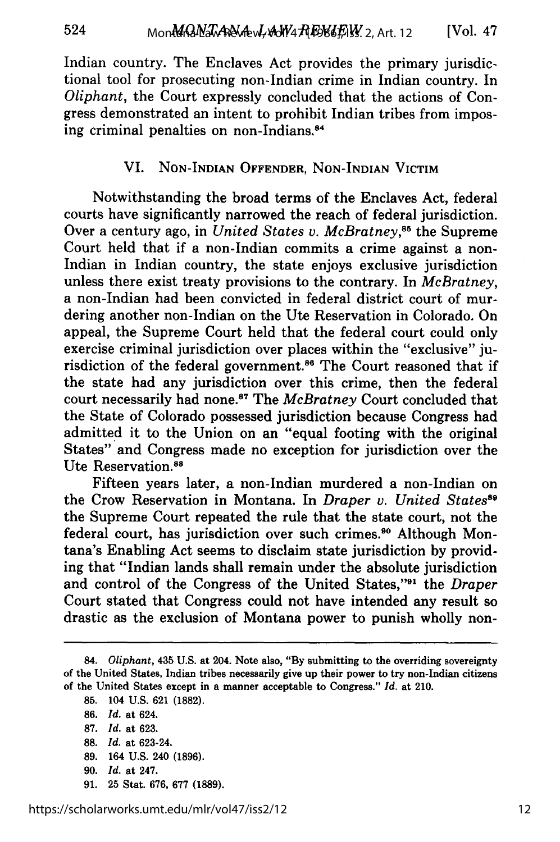Indian country. The Enclaves Act provides the primary jurisdictional tool for prosecuting non-Indian crime in Indian country. In *Oliphant,* the Court expressly concluded that the actions of Congress demonstrated an intent to prohibit Indian tribes from imposing criminal penalties on non-Indians.84

### VI. **NON-INDIAN OFFENDER, NON-INDIAN VICTIM**

Notwithstanding the broad terms of the Enclaves Act, federal courts have significantly narrowed the reach of federal jurisdiction. Over a century ago, in *United States v. McBratney*<sup>85</sup> the Supreme Court held that if a non-Indian commits a crime against a non-Indian in Indian country, the state enjoys exclusive jurisdiction unless there exist treaty provisions to the contrary. In *McBratney,* a non-Indian had been convicted in federal district court of murdering another non-Indian on the Ute Reservation in Colorado. On appeal, the Supreme Court held that the federal court could only exercise criminal jurisdiction over places within the "exclusive" jurisdiction of the federal government.<sup>86</sup> The Court reasoned that if the state had any jurisdiction over this crime, then the federal court necessarily had none.<sup>87</sup> The *McBratney* Court concluded that the State of Colorado possessed jurisdiction because Congress had admitted it to the Union on an "equal footing with the original States" and Congress made no exception for jurisdiction over the Ute Reservation.<sup>88</sup>

Fifteen years later, a non-Indian murdered a non-Indian on the Crow Reservation in Montana. In *Draper v. United Statess* the Supreme Court repeated the rule that the state court, not the federal court, has jurisdiction over such crimes.<sup>90</sup> Although Montana's Enabling Act seems to disclaim state jurisdiction **by** providing that "Indian lands shall remain under the absolute jurisdiction and control of the Congress of the United States,"91 the *Draper* Court stated that Congress could not have intended any result so drastic as the exclusion of Montana power to punish wholly non-

524

- **89.** 164 **U.S.** 240 **(1896).**
- **90.** *Id.* at 247.
- **91. 25** Stat. **676, 677 (1889).**

**<sup>84.</sup>** *Oliphant,* 435 **U.S.** at 204. Note **also, "By** submitting to the overriding sovereignty of the United States, Indian tribes necessarily give up their power to try non-Indian citizens of the United States except in a manner acceptable to Congress." *Id.* at 210.

**<sup>85.</sup>** 104 **U.S. 621 (1882).**

**<sup>86.</sup>** *Id.* at 624.

**<sup>87.</sup>** *Id.* at **623.**

**<sup>88.</sup>** *Id.* at 623-24.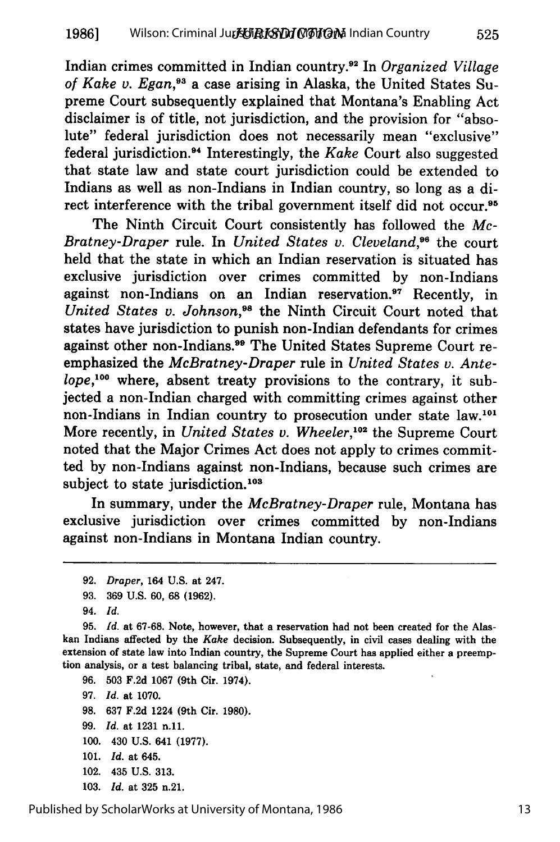Indian crimes committed in Indian country.92 In *Organized Village* of Kake v. Egan,<sup>93</sup> a case arising in Alaska, the United States Supreme Court subsequently explained that Montana's Enabling Act disclaimer is of title, not jurisdiction, and the provision for "absolute" federal jurisdiction does not necessarily mean "exclusive" federal jurisdiction.9 4 Interestingly, the *Kake* Court also suggested that state law and state court jurisdiction could be extended to Indians as well as non-Indians in Indian country, so long as a direct interference with the tribal government itself did not occur.<sup>95</sup>

The Ninth Circuit Court consistently has followed the *Mc-Bratney-Draper* rule. In *United States v. Cleveland,96* the court held that the state in which an Indian reservation is situated has exclusive jurisdiction over crimes committed **by** non-Indians against non-Indians on an Indian reservation.<sup>97</sup> Recently, in *United States v. Johnson,98* the Ninth Circuit Court noted that states have jurisdiction to punish non-Indian defendants for crimes against other non-Indians.<sup>99</sup> The United States Supreme Court reemphasized the *McBratney-Draper* rule in *United States v. Antelope,'00* where, absent treaty provisions to the contrary, it subjected a non-Indian charged with committing crimes against other non-Indians in Indian country to prosecution under state law.<sup>101</sup> More recently, in *United States v. Wheeler*,<sup>102</sup> the Supreme Court noted that the Major Crimes Act does not apply to crimes committed **by** non-Indians against non-Indians, because such crimes are subject to state jurisdiction.<sup>103</sup>

In summary, under the *McBratney-Draper* rule, Montana has exclusive jurisdiction over crimes committed **by** non-Indians against non-Indians in Montana Indian country.

**95.** *Id.* at **67-68.** Note, however, that a reservation had not been created for the Alaskan Indians affected by the *Kake* decision. Subsequently, in civil cases dealing with the extension of state law into Indian country, the Supreme Court has applied either a preemption analysis, or a test balancing tribal, state, and federal interests.

**96.** 503 F.2d 1067 (9th Cir. 1974). **97.** *Id.* at 1070. **98. 637** F.2d 1224 (9th Cir. **1980). 99.** *Id.* at **1231** n.11. **100.** 430 **U.S.** 641 **(1977). 101.** *Id.* at 645. 102. 435 **U.S. 313. 103.** *Id.* at **325** n.21.

Published by ScholarWorks at University of Montana, 1986

525

13

**<sup>92.</sup>** *Draper,* 164 **U.S.** at 247.

**<sup>93. 369</sup> U.S. 60, 68 (1962).**

<sup>94.</sup> *Id.*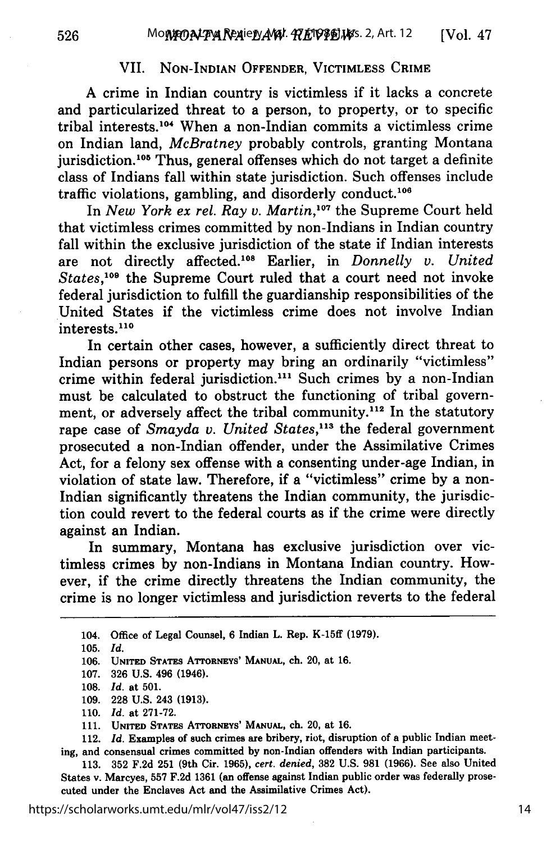#### VII. **NON-INDIAN** OFFENDER, VICTIMLESS CRIME

**A** crime in Indian country is victimless if it lacks a concrete and particularized threat to a person, to property, or to specific tribal interests. 10' When a non-Indian commits a victimless crime on Indian land, *McBratney* probably controls, granting Montana jurisdiction.<sup>105</sup> Thus, general offenses which do not target a definite class of Indians fall within state jurisdiction. Such offenses include traffic violations, gambling, and disorderly conduct.<sup>106</sup>

In *New York ex rel. Ray v. Martin*,<sup>107</sup> the Supreme Court held that victimless crimes committed **by** non-Indians in Indian country fall within the exclusive jurisdiction of the state if Indian interests are not directly affected. 08 Earlier, in *Donnelly v. United* States,<sup>109</sup> the Supreme Court ruled that a court need not invoke federal jurisdiction to fulfill the guardianship responsibilities of the United States if the victimless crime does not involve Indian interests.<sup>110</sup>

In certain other cases, however, a sufficiently direct threat to Indian persons or property may bring an ordinarily "victimless" crime within federal jurisdiction."' Such crimes **by** a non-Indian must be calculated to obstruct the functioning of tribal government, or adversely affect the tribal community.<sup>112</sup> In the statutory rape case of *Smayda v. United States*,<sup>113</sup> the federal government prosecuted a non-Indian offender, under the Assimilative Crimes Act, for a felony sex offense with a consenting under-age Indian, in violation of state law. Therefore, if a "victimless" crime **by** a non-Indian significantly threatens the Indian community, the jurisdiction could revert to the federal courts as if the crime were directly against an Indian.

In summary, Montana has exclusive jurisdiction over victimless crimes **by** non-Indians in Montana Indian country. However, if the crime directly threatens the Indian community, the crime is no longer victimless and jurisdiction reverts to the federal

105. *Id.*

**106. UNITED STATES ATTORNEYS' MANUAL, ch. 20, at 16.**

**107. 326 U.S.** 496 **(1946).**

**112.** *Id.* Examples of such crimes are **bribery, riot, disruption of a** public **Indian meet**ing, and consensual crimes committed **by** non-Indian offenders with Indian participants.

**113. 352 F.2d 251** (9th Cir. **1965),** *cert. denied,* **382 U.S. 981 (1966).** See also United States v. Marcyes, **557 F.2d 1361** (an offense against Indian public order was federally prosecuted under the Enclaves Act and the Assimilative Crimes Act).

<sup>104.</sup> Office of Legal Counsel, **6** Indian L. Rep. K-15ff **(1979).**

**<sup>108.</sup>** *Id.* **at 501.**

**<sup>109. 228</sup> U.S.** 243 **(1913).**

**<sup>110.</sup>** *Id.* **at 271-72.**

**<sup>111.</sup> UNITED** STATES **ATrORNEYS' MANUAL, ch.** 20, at **16.**